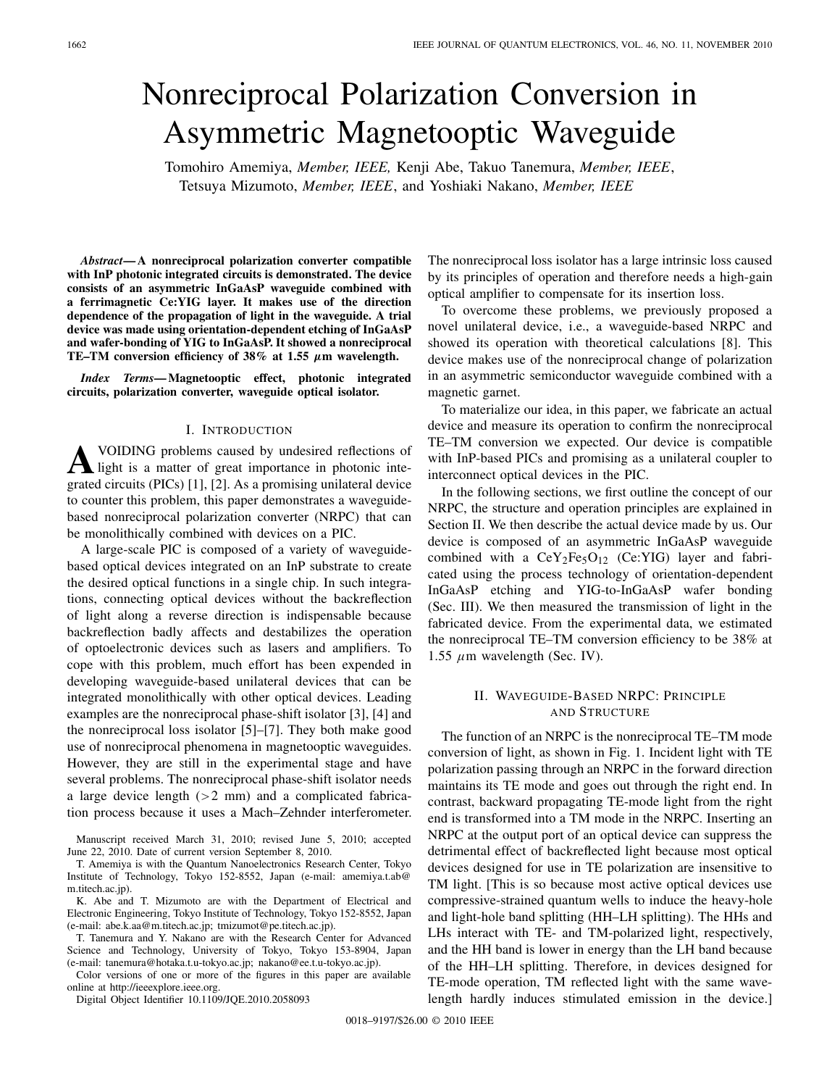# Nonreciprocal Polarization Conversion in Asymmetric Magnetooptic Waveguide

Tomohiro Amemiya, *Member, IEEE,* Kenji Abe, Takuo Tanemura, *Member, IEEE*, Tetsuya Mizumoto, *Member, IEEE*, and Yoshiaki Nakano, *Member, IEEE*

*Abstract***— A nonreciprocal polarization converter compatible with InP photonic integrated circuits is demonstrated. The device consists of an asymmetric InGaAsP waveguide combined with a ferrimagnetic Ce:YIG layer. It makes use of the direction dependence of the propagation of light in the waveguide. A trial device was made using orientation-dependent etching of InGaAsP and wafer-bonding of YIG to InGaAsP. It showed a nonreciprocal TE–TM conversion efficiency of 38% at 1.55** *µ***m wavelength.**

*Index Terms***— Magnetooptic effect, photonic integrated circuits, polarization converter, waveguide optical isolator.**

#### I. INTRODUCTION

**A**VOIDING problems caused by undesired reflections of light is a matter of great importance in photonic integrated circuits (PICs) [1], [2]. As a promising unilateral device to counter this problem, this paper demonstrates a waveguidebased nonreciprocal polarization converter (NRPC) that can be monolithically combined with devices on a PIC.

A large-scale PIC is composed of a variety of waveguidebased optical devices integrated on an InP substrate to create the desired optical functions in a single chip. In such integrations, connecting optical devices without the backreflection of light along a reverse direction is indispensable because backreflection badly affects and destabilizes the operation of optoelectronic devices such as lasers and amplifiers. To cope with this problem, much effort has been expended in developing waveguide-based unilateral devices that can be integrated monolithically with other optical devices. Leading examples are the nonreciprocal phase-shift isolator [3], [4] and the nonreciprocal loss isolator [5]–[7]. They both make good use of nonreciprocal phenomena in magnetooptic waveguides. However, they are still in the experimental stage and have several problems. The nonreciprocal phase-shift isolator needs a large device length  $(>2$  mm) and a complicated fabrication process because it uses a Mach–Zehnder interferometer.

Manuscript received March 31, 2010; revised June 5, 2010; accepted June 22, 2010. Date of current version September 8, 2010.

T. Amemiya is with the Quantum Nanoelectronics Research Center, Tokyo Institute of Technology, Tokyo 152-8552, Japan (e-mail: amemiya.t.ab@ m.titech.ac.jp).

K. Abe and T. Mizumoto are with the Department of Electrical and Electronic Engineering, Tokyo Institute of Technology, Tokyo 152-8552, Japan (e-mail: abe.k.aa@m.titech.ac.jp; tmizumot@pe.titech.ac.jp).

T. Tanemura and Y. Nakano are with the Research Center for Advanced Science and Technology, University of Tokyo, Tokyo 153-8904, Japan (e-mail: tanemura@hotaka.t.u-tokyo.ac.jp; nakano@ee.t.u-tokyo.ac.jp).

Color versions of one or more of the figures in this paper are available online at http://ieeexplore.ieee.org.

Digital Object Identifier 10.1109/JQE.2010.2058093

The nonreciprocal loss isolator has a large intrinsic loss caused by its principles of operation and therefore needs a high-gain optical amplifier to compensate for its insertion loss.

To overcome these problems, we previously proposed a novel unilateral device, i.e., a waveguide-based NRPC and showed its operation with theoretical calculations [8]. This device makes use of the nonreciprocal change of polarization in an asymmetric semiconductor waveguide combined with a magnetic garnet.

To materialize our idea, in this paper, we fabricate an actual device and measure its operation to confirm the nonreciprocal TE–TM conversion we expected. Our device is compatible with InP-based PICs and promising as a unilateral coupler to interconnect optical devices in the PIC.

In the following sections, we first outline the concept of our NRPC, the structure and operation principles are explained in Section II. We then describe the actual device made by us. Our device is composed of an asymmetric InGaAsP waveguide combined with a  $CeY_2Fe<sub>5</sub>O<sub>12</sub>$  (Ce:YIG) layer and fabricated using the process technology of orientation-dependent InGaAsP etching and YIG-to-InGaAsP wafer bonding (Sec. III). We then measured the transmission of light in the fabricated device. From the experimental data, we estimated the nonreciprocal TE–TM conversion efficiency to be 38% at 1.55  $\mu$ m wavelength (Sec. IV).

# II. WAVEGUIDE-BASED NRPC: PRINCIPLE AND STRUCTURE

The function of an NRPC is the nonreciprocal TE–TM mode conversion of light, as shown in Fig. 1. Incident light with TE polarization passing through an NRPC in the forward direction maintains its TE mode and goes out through the right end. In contrast, backward propagating TE-mode light from the right end is transformed into a TM mode in the NRPC. Inserting an NRPC at the output port of an optical device can suppress the detrimental effect of backreflected light because most optical devices designed for use in TE polarization are insensitive to TM light. [This is so because most active optical devices use compressive-strained quantum wells to induce the heavy-hole and light-hole band splitting (HH–LH splitting). The HHs and LHs interact with TE- and TM-polarized light, respectively, and the HH band is lower in energy than the LH band because of the HH–LH splitting. Therefore, in devices designed for TE-mode operation, TM reflected light with the same wavelength hardly induces stimulated emission in the device.]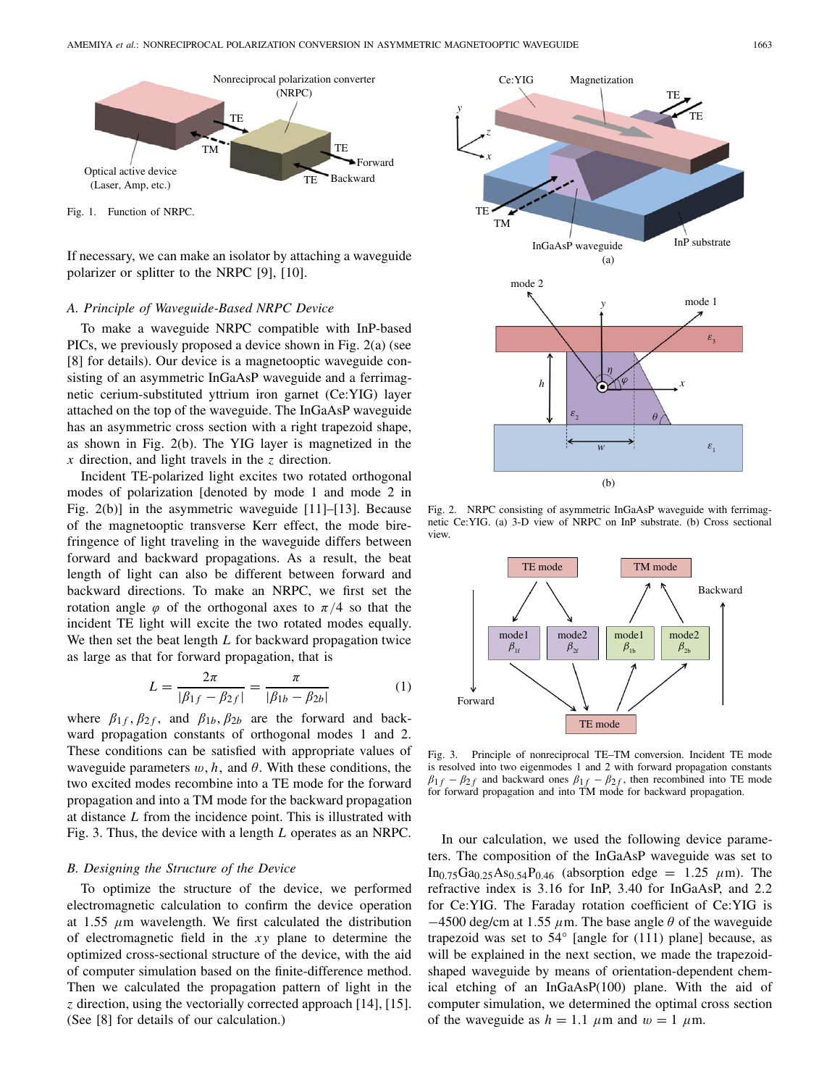

Fig. 1. Function of NRPC.

If necessary, we can make an isolator by attaching a waveguide polarizer or splitter to the NRPC [9], [10].

#### *A. Principle of Waveguide-Based NRPC Device*

To make a waveguide NRPC compatible with InP-based PICs, we previously proposed a device shown in Fig. 2(a) (see [8] for details). Our device is a magnetooptic waveguide consisting of an asymmetric InGaAsP waveguide and a ferrimagnetic cerium-substituted yttrium iron garnet (Ce:YIG) layer attached on the top of the waveguide. The InGaAsP waveguide has an asymmetric cross section with a right trapezoid shape, as shown in Fig. 2(b). The YIG layer is magnetized in the *x* direction, and light travels in the *z* direction.

Incident TE-polarized light excites two rotated orthogonal modes of polarization [denoted by mode 1 and mode 2 in Fig. 2(b)] in the asymmetric waveguide [11]–[13]. Because of the magnetooptic transverse Kerr effect, the mode birefringence of light traveling in the waveguide differs between forward and backward propagations. As a result, the beat length of light can also be different between forward and backward directions. To make an NRPC, we first set the rotation angle  $\varphi$  of the orthogonal axes to  $\pi/4$  so that the incident TE light will excite the two rotated modes equally. We then set the beat length *L* for backward propagation twice as large as that for forward propagation, that is

$$
L = \frac{2\pi}{|\beta_{1f} - \beta_{2f}|} = \frac{\pi}{|\beta_{1b} - \beta_{2b}|} \tag{1}
$$

where  $\beta_{1f}$ ,  $\beta_{2f}$ , and  $\beta_{1b}$ ,  $\beta_{2b}$  are the forward and backward propagation constants of orthogonal modes 1 and 2. These conditions can be satisfied with appropriate values of waveguide parameters  $w, h$ , and  $\theta$ . With these conditions, the two excited modes recombine into a TE mode for the forward propagation and into a TM mode for the backward propagation at distance *L* from the incidence point. This is illustrated with Fig. 3. Thus, the device with a length *L* operates as an NRPC.

#### *B. Designing the Structure of the Device*

To optimize the structure of the device, we performed electromagnetic calculation to confirm the device operation at 1.55  $\mu$ m wavelength. We first calculated the distribution of electromagnetic field in the *xy* plane to determine the optimized cross-sectional structure of the device, with the aid of computer simulation based on the finite-difference method. Then we calculated the propagation pattern of light in the *z* direction, using the vectorially corrected approach [14], [15]. (See [8] for details of our calculation.)



Fig. 2. NRPC consisting of asymmetric InGaAsP waveguide with ferrimagnetic Ce:YIG. (a) 3-D view of NRPC on InP substrate. (b) Cross sectional view.



Fig. 3. Principle of nonreciprocal TE–TM conversion. Incident TE mode is resolved into two eigenmodes 1 and 2 with forward propagation constants  $\beta_{1f} - \beta_{2f}$  and backward ones  $\beta_{1f} - \beta_{2f}$ , then recombined into TE mode for forward propagation and into TM mode for backward propagation.

In our calculation, we used the following device parameters. The composition of the InGaAsP waveguide was set to  $In_{0.75}Ga_{0.25}As_{0.54}P_{0.46}$  (absorption edge = 1.25  $\mu$ m). The refractive index is 3.16 for InP, 3.40 for InGaAsP, and 2.2 for Ce:YIG. The Faraday rotation coefficient of Ce:YIG is  $-4500$  deg/cm at 1.55  $\mu$ m. The base angle  $\theta$  of the waveguide trapezoid was set to  $54^{\circ}$  [angle for (111) plane] because, as will be explained in the next section, we made the trapezoidshaped waveguide by means of orientation-dependent chemical etching of an InGaAsP(100) plane. With the aid of computer simulation, we determined the optimal cross section of the waveguide as  $h = 1.1 \mu m$  and  $w = 1 \mu m$ .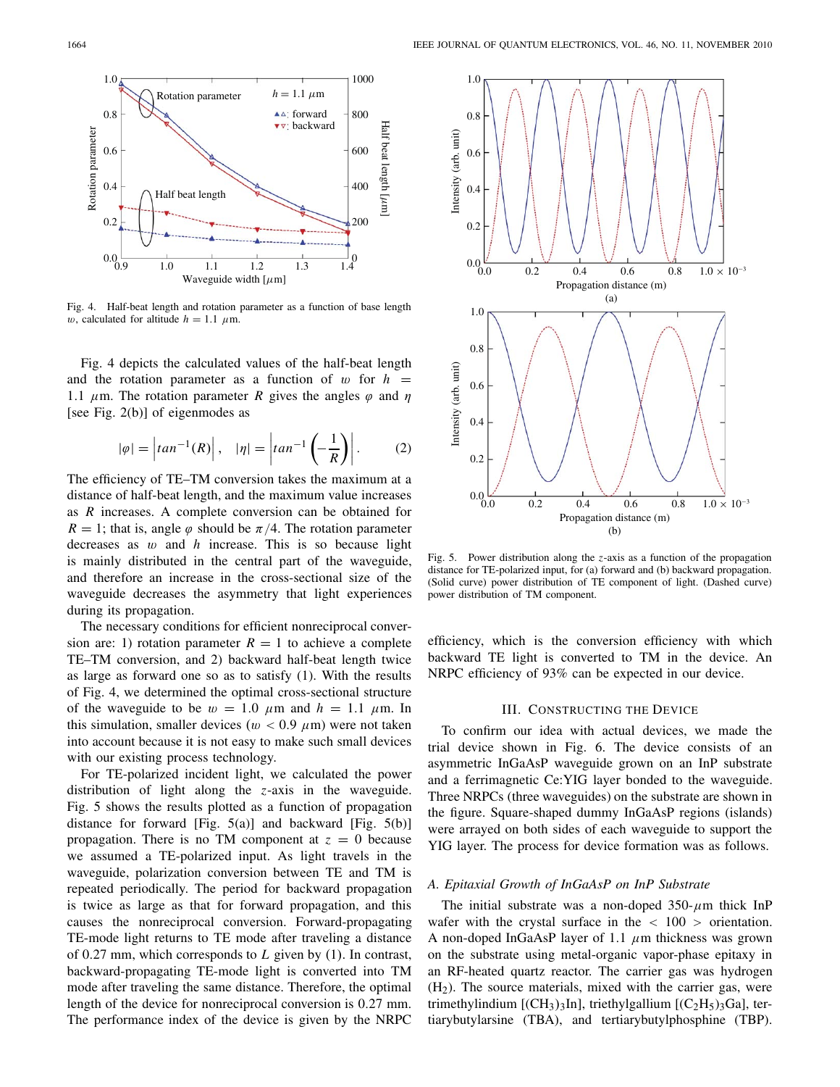

Fig. 4. Half-beat length and rotation parameter as a function of base length w, calculated for altitude  $h = 1.1 \mu$ m.

Fig. 4 depicts the calculated values of the half-beat length and the rotation parameter as a function of  $w$  for  $h =$ 1.1  $\mu$ m. The rotation parameter *R* gives the angles  $\varphi$  and  $\eta$ [see Fig. 2(b)] of eigenmodes as

$$
|\varphi| = \left| \tan^{-1}(R) \right|, \quad |\eta| = \left| \tan^{-1}\left(-\frac{1}{R}\right) \right|.
$$
 (2)

The efficiency of TE–TM conversion takes the maximum at a distance of half-beat length, and the maximum value increases as *R* increases. A complete conversion can be obtained for  $R = 1$ ; that is, angle  $\varphi$  should be  $\pi/4$ . The rotation parameter decreases as w and *h* increase. This is so because light is mainly distributed in the central part of the waveguide, and therefore an increase in the cross-sectional size of the waveguide decreases the asymmetry that light experiences during its propagation.

The necessary conditions for efficient nonreciprocal conversion are: 1) rotation parameter  $R = 1$  to achieve a complete TE–TM conversion, and 2) backward half-beat length twice as large as forward one so as to satisfy (1). With the results of Fig. 4, we determined the optimal cross-sectional structure of the waveguide to be  $w = 1.0 \mu m$  and  $h = 1.1 \mu m$ . In this simulation, smaller devices ( $w < 0.9 \mu$ m) were not taken into account because it is not easy to make such small devices with our existing process technology.

For TE-polarized incident light, we calculated the power distribution of light along the *z*-axis in the waveguide. Fig. 5 shows the results plotted as a function of propagation distance for forward [Fig. 5(a)] and backward [Fig. 5(b)] propagation. There is no TM component at  $z = 0$  because we assumed a TE-polarized input. As light travels in the waveguide, polarization conversion between TE and TM is repeated periodically. The period for backward propagation is twice as large as that for forward propagation, and this causes the nonreciprocal conversion. Forward-propagating TE-mode light returns to TE mode after traveling a distance of 0.27 mm, which corresponds to *L* given by (1). In contrast, backward-propagating TE-mode light is converted into TM mode after traveling the same distance. Therefore, the optimal length of the device for nonreciprocal conversion is 0.27 mm. The performance index of the device is given by the NRPC



Fig. 5. Power distribution along the *z*-axis as a function of the propagation distance for TE-polarized input, for (a) forward and (b) backward propagation. (Solid curve) power distribution of TE component of light. (Dashed curve) power distribution of TM component.

efficiency, which is the conversion efficiency with which backward TE light is converted to TM in the device. An NRPC efficiency of 93% can be expected in our device.

### III. CONSTRUCTING THE DEVICE

To confirm our idea with actual devices, we made the trial device shown in Fig. 6. The device consists of an asymmetric InGaAsP waveguide grown on an InP substrate and a ferrimagnetic Ce:YIG layer bonded to the waveguide. Three NRPCs (three waveguides) on the substrate are shown in the figure. Square-shaped dummy InGaAsP regions (islands) were arrayed on both sides of each waveguide to support the YIG layer. The process for device formation was as follows.

## *A. Epitaxial Growth of InGaAsP on InP Substrate*

The initial substrate was a non-doped  $350-\mu m$  thick InP wafer with the crystal surface in the  $< 100$  > orientation. A non-doped InGaAsP layer of 1.1  $\mu$ m thickness was grown on the substrate using metal-organic vapor-phase epitaxy in an RF-heated quartz reactor. The carrier gas was hydrogen  $(H<sub>2</sub>)$ . The source materials, mixed with the carrier gas, were trimethylindium  $[(CH_3)_3In]$ , triethylgallium  $[(C_2H_5)_3Ga]$ , tertiarybutylarsine (TBA), and tertiarybutylphosphine (TBP).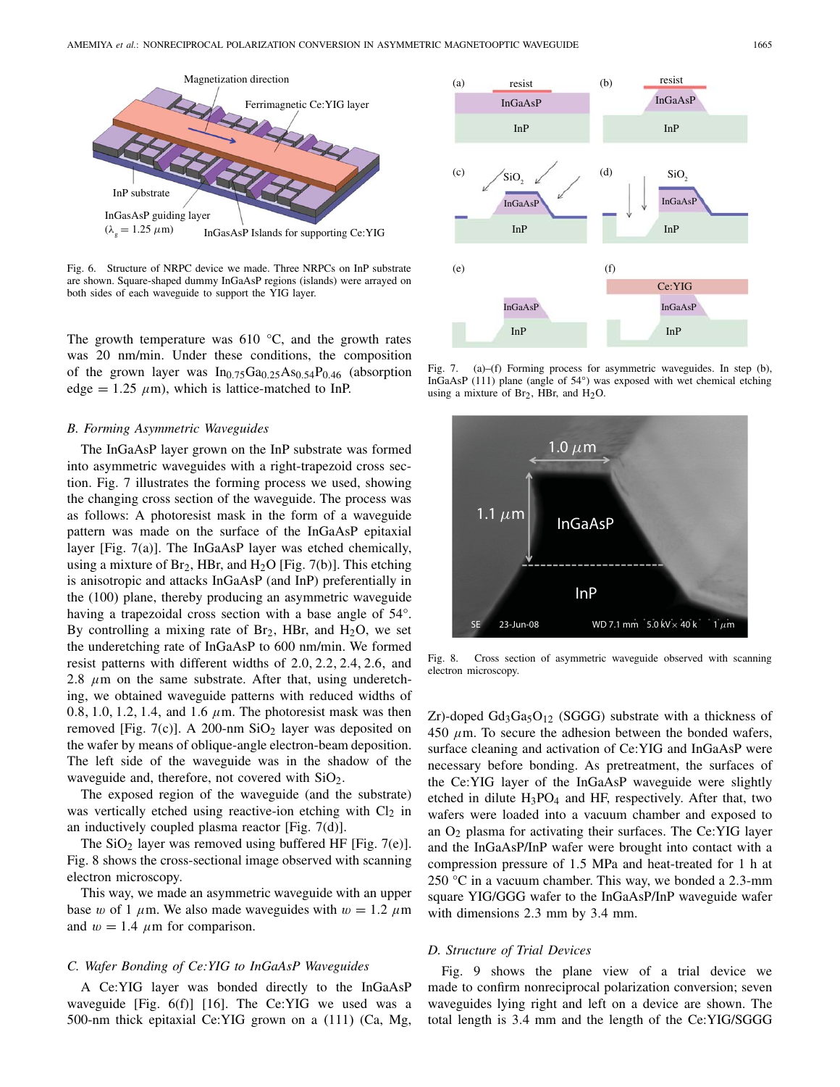

Fig. 6. Structure of NRPC device we made. Three NRPCs on InP substrate are shown. Square-shaped dummy InGaAsP regions (islands) were arrayed on both sides of each waveguide to support the YIG layer.

The growth temperature was 610  $^{\circ}$ C, and the growth rates was 20 nm/min. Under these conditions, the composition of the grown layer was  $In_{0.75}Ga_{0.25}As_{0.54}P_{0.46}$  (absorption edge = 1.25  $\mu$ m), which is lattice-matched to InP.

#### *B. Forming Asymmetric Waveguides*

The InGaAsP layer grown on the InP substrate was formed into asymmetric waveguides with a right-trapezoid cross section. Fig. 7 illustrates the forming process we used, showing the changing cross section of the waveguide. The process was as follows: A photoresist mask in the form of a waveguide pattern was made on the surface of the InGaAsP epitaxial layer [Fig. 7(a)]. The InGaAsP layer was etched chemically, using a mixture of  $Br_2$ , HBr, and H<sub>2</sub>O [Fig. 7(b)]. This etching is anisotropic and attacks InGaAsP (and InP) preferentially in the (100) plane, thereby producing an asymmetric waveguide having a trapezoidal cross section with a base angle of 54°. By controlling a mixing rate of  $Br_2$ , HBr, and  $H_2O$ , we set the underetching rate of InGaAsP to 600 nm/min. We formed resist patterns with different widths of 2.0, 2.2, 2.4, 2.6, and 2.8  $\mu$ m on the same substrate. After that, using underetching, we obtained waveguide patterns with reduced widths of 0.8, 1.0, 1.2, 1.4, and 1.6  $\mu$ m. The photoresist mask was then removed [Fig. 7(c)]. A 200-nm  $SiO<sub>2</sub>$  layer was deposited on the wafer by means of oblique-angle electron-beam deposition. The left side of the waveguide was in the shadow of the waveguide and, therefore, not covered with  $SiO<sub>2</sub>$ .

The exposed region of the waveguide (and the substrate) was vertically etched using reactive-ion etching with  $Cl<sub>2</sub>$  in an inductively coupled plasma reactor [Fig. 7(d)].

The  $SiO<sub>2</sub>$  layer was removed using buffered HF [Fig. 7(e)]. Fig. 8 shows the cross-sectional image observed with scanning electron microscopy.

This way, we made an asymmetric waveguide with an upper base w of 1  $\mu$ m. We also made waveguides with  $w = 1.2 \mu$ m and  $w = 1.4 \mu m$  for comparison.

### *C. Wafer Bonding of Ce:YIG to InGaAsP Waveguides*

A Ce:YIG layer was bonded directly to the InGaAsP waveguide [Fig. 6(f)] [16]. The Ce:YIG we used was a 500-nm thick epitaxial Ce:YIG grown on a (111) (Ca, Mg,



Fig. 7. (a)–(f) Forming process for asymmetric waveguides. In step (b), InGaAsP (111) plane (angle of 54°) was exposed with wet chemical etching using a mixture of  $Br_2$ , HBr, and  $H_2O$ .



Fig. 8. Cross section of asymmetric waveguide observed with scanning electron microscopy.

Zr)-doped  $Gd_3Ga_5O_{12}$  (SGGG) substrate with a thickness of 450  $\mu$ m. To secure the adhesion between the bonded wafers, surface cleaning and activation of Ce:YIG and InGaAsP were necessary before bonding. As pretreatment, the surfaces of the Ce:YIG layer of the InGaAsP waveguide were slightly etched in dilute  $H_3PO_4$  and HF, respectively. After that, two wafers were loaded into a vacuum chamber and exposed to an O2 plasma for activating their surfaces. The Ce:YIG layer and the InGaAsP/InP wafer were brought into contact with a compression pressure of 1.5 MPa and heat-treated for 1 h at 250 °C in a vacuum chamber. This way, we bonded a 2.3-mm square YIG/GGG wafer to the InGaAsP/InP waveguide wafer with dimensions 2.3 mm by 3.4 mm.

### *D. Structure of Trial Devices*

Fig. 9 shows the plane view of a trial device we made to confirm nonreciprocal polarization conversion; seven waveguides lying right and left on a device are shown. The total length is 3.4 mm and the length of the Ce:YIG/SGGG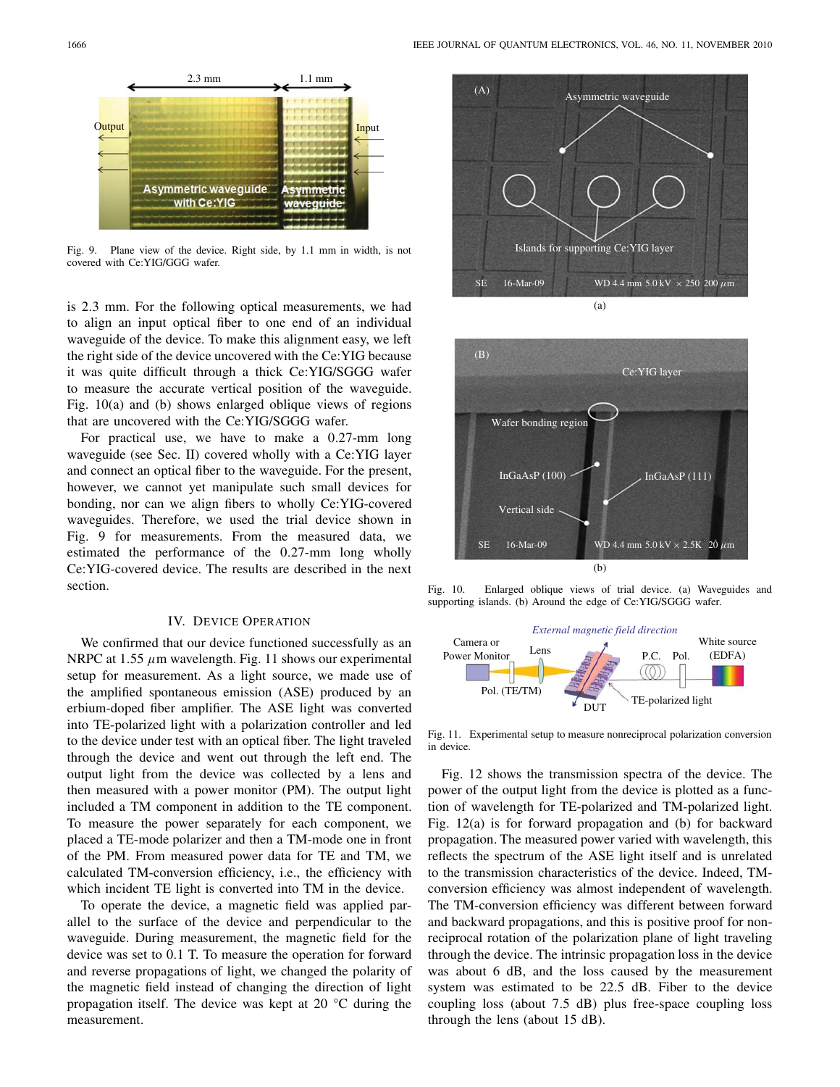

Fig. 9. Plane view of the device. Right side, by 1.1 mm in width, is not covered with Ce:YIG/GGG wafer.

is 2.3 mm. For the following optical measurements, we had to align an input optical fiber to one end of an individual waveguide of the device. To make this alignment easy, we left the right side of the device uncovered with the Ce:YIG because it was quite difficult through a thick Ce:YIG/SGGG wafer to measure the accurate vertical position of the waveguide. Fig. 10(a) and (b) shows enlarged oblique views of regions that are uncovered with the Ce:YIG/SGGG wafer.

For practical use, we have to make a 0.27-mm long waveguide (see Sec. II) covered wholly with a Ce:YIG layer and connect an optical fiber to the waveguide. For the present, however, we cannot yet manipulate such small devices for bonding, nor can we align fibers to wholly Ce:YIG-covered waveguides. Therefore, we used the trial device shown in Fig. 9 for measurements. From the measured data, we estimated the performance of the 0.27-mm long wholly Ce:YIG-covered device. The results are described in the next section.

#### IV. DEVICE OPERATION

We confirmed that our device functioned successfully as an NRPC at 1.55  $\mu$ m wavelength. Fig. 11 shows our experimental setup for measurement. As a light source, we made use of the amplified spontaneous emission (ASE) produced by an erbium-doped fiber amplifier. The ASE light was converted into TE-polarized light with a polarization controller and led to the device under test with an optical fiber. The light traveled through the device and went out through the left end. The output light from the device was collected by a lens and then measured with a power monitor (PM). The output light included a TM component in addition to the TE component. To measure the power separately for each component, we placed a TE-mode polarizer and then a TM-mode one in front of the PM. From measured power data for TE and TM, we calculated TM-conversion efficiency, i.e., the efficiency with which incident TE light is converted into TM in the device.

To operate the device, a magnetic field was applied parallel to the surface of the device and perpendicular to the waveguide. During measurement, the magnetic field for the device was set to 0.1 T. To measure the operation for forward and reverse propagations of light, we changed the polarity of the magnetic field instead of changing the direction of light propagation itself. The device was kept at 20 °C during the measurement.





Fig. 10. Enlarged oblique views of trial device. (a) Waveguides and supporting islands. (b) Around the edge of Ce:YIG/SGGG wafer.



Fig. 11. Experimental setup to measure nonreciprocal polarization conversion in device.

Fig. 12 shows the transmission spectra of the device. The power of the output light from the device is plotted as a function of wavelength for TE-polarized and TM-polarized light. Fig. 12(a) is for forward propagation and (b) for backward propagation. The measured power varied with wavelength, this reflects the spectrum of the ASE light itself and is unrelated to the transmission characteristics of the device. Indeed, TMconversion efficiency was almost independent of wavelength. The TM-conversion efficiency was different between forward and backward propagations, and this is positive proof for nonreciprocal rotation of the polarization plane of light traveling through the device. The intrinsic propagation loss in the device was about 6 dB, and the loss caused by the measurement system was estimated to be 22.5 dB. Fiber to the device coupling loss (about 7.5 dB) plus free-space coupling loss through the lens (about 15 dB).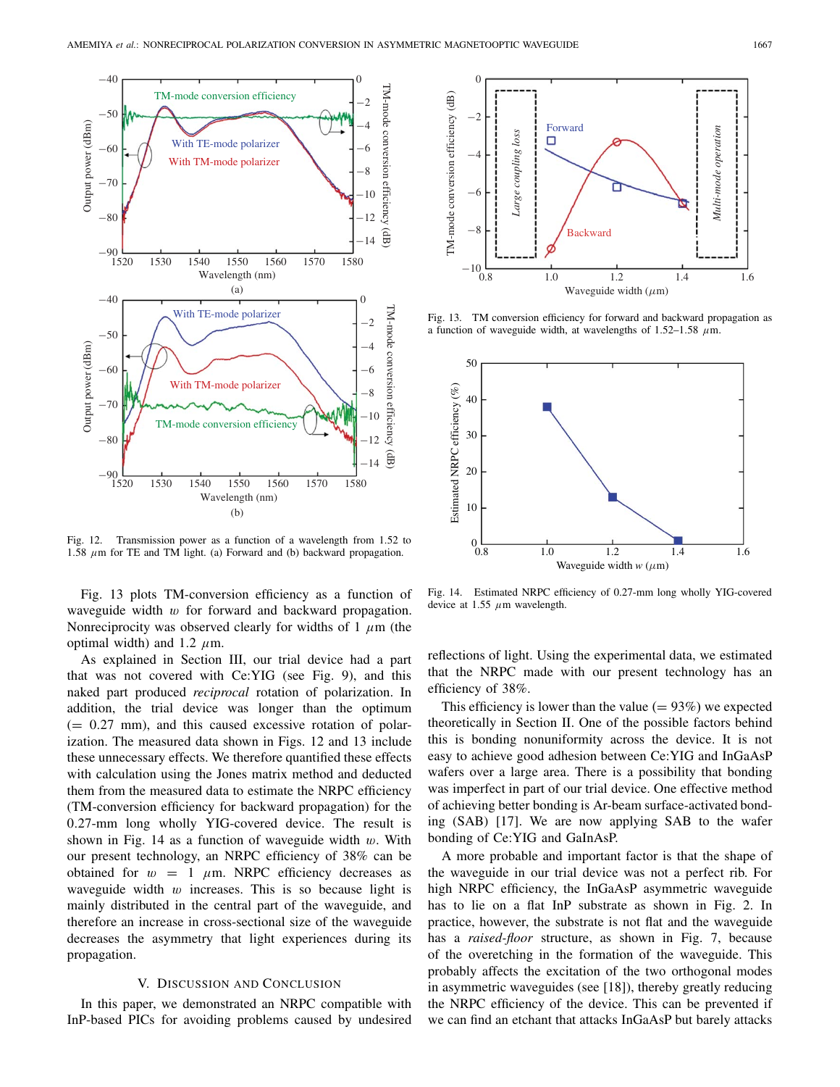

Fig. 12. Transmission power as a function of a wavelength from 1.52 to 1.58  $\mu$ m for TE and TM light. (a) Forward and (b) backward propagation.

Fig. 13 plots TM-conversion efficiency as a function of waveguide width  $w$  for forward and backward propagation. Nonreciprocity was observed clearly for widths of  $1 \mu m$  (the optimal width) and  $1.2 \mu$ m.

As explained in Section III, our trial device had a part that was not covered with Ce:YIG (see Fig. 9), and this naked part produced *reciprocal* rotation of polarization. In addition, the trial device was longer than the optimum  $(= 0.27$  mm), and this caused excessive rotation of polarization. The measured data shown in Figs. 12 and 13 include these unnecessary effects. We therefore quantified these effects with calculation using the Jones matrix method and deducted them from the measured data to estimate the NRPC efficiency (TM-conversion efficiency for backward propagation) for the 0.27-mm long wholly YIG-covered device. The result is shown in Fig. 14 as a function of waveguide width  $w$ . With our present technology, an NRPC efficiency of 38% can be obtained for  $w = 1 \mu m$ . NRPC efficiency decreases as waveguide width  $w$  increases. This is so because light is mainly distributed in the central part of the waveguide, and therefore an increase in cross-sectional size of the waveguide decreases the asymmetry that light experiences during its propagation.

### V. DISCUSSION AND CONCLUSION

In this paper, we demonstrated an NRPC compatible with InP-based PICs for avoiding problems caused by undesired



Fig. 13. TM conversion efficiency for forward and backward propagation as a function of waveguide width, at wavelengths of 1.52–1.58  $\mu$ m.



Fig. 14. Estimated NRPC efficiency of 0.27-mm long wholly YIG-covered device at 1.55  $\mu$ m wavelength.

reflections of light. Using the experimental data, we estimated that the NRPC made with our present technology has an efficiency of 38%.

This efficiency is lower than the value  $(= 93\%)$  we expected theoretically in Section II. One of the possible factors behind this is bonding nonuniformity across the device. It is not easy to achieve good adhesion between Ce:YIG and InGaAsP wafers over a large area. There is a possibility that bonding was imperfect in part of our trial device. One effective method of achieving better bonding is Ar-beam surface-activated bonding (SAB) [17]. We are now applying SAB to the wafer bonding of Ce:YIG and GaInAsP.

A more probable and important factor is that the shape of the waveguide in our trial device was not a perfect rib. For high NRPC efficiency, the InGaAsP asymmetric waveguide has to lie on a flat InP substrate as shown in Fig. 2. In practice, however, the substrate is not flat and the waveguide has a *raised-floor* structure, as shown in Fig. 7, because of the overetching in the formation of the waveguide. This probably affects the excitation of the two orthogonal modes in asymmetric waveguides (see [18]), thereby greatly reducing the NRPC efficiency of the device. This can be prevented if we can find an etchant that attacks InGaAsP but barely attacks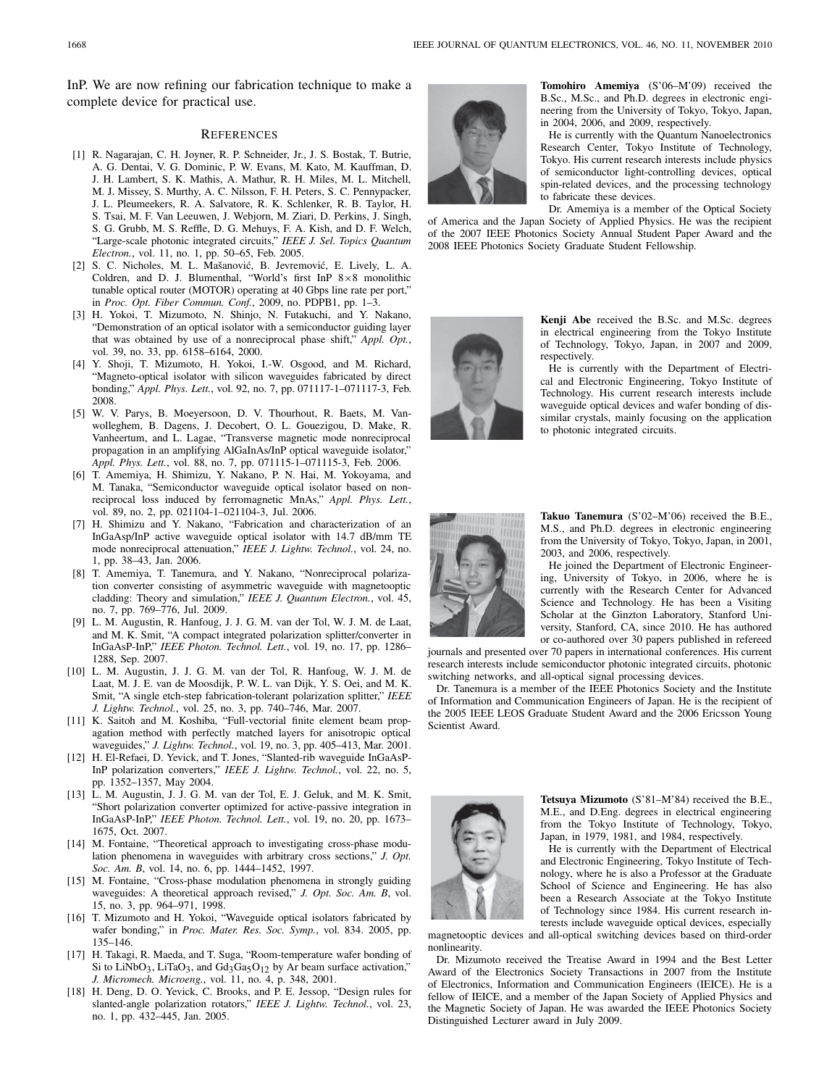InP. We are now refining our fabrication technique to make a complete device for practical use.

#### **REFERENCES**

- [1] R. Nagarajan, C. H. Joyner, R. P. Schneider, Jr., J. S. Bostak, T. Butrie, A. G. Dentai, V. G. Dominic, P. W. Evans, M. Kato, M. Kauffman, D. J. H. Lambert, S. K. Mathis, A. Mathur, R. H. Miles, M. L. Mitchell, M. J. Missey, S. Murthy, A. C. Nilsson, F. H. Peters, S. C. Pennypacker, J. L. Pleumeekers, R. A. Salvatore, R. K. Schlenker, R. B. Taylor, H. S. Tsai, M. F. Van Leeuwen, J. Webjorn, M. Ziari, D. Perkins, J. Singh, S. G. Grubb, M. S. Reffle, D. G. Mehuys, F. A. Kish, and D. F. Welch, "Large-scale photonic integrated circuits," *IEEE J. Sel. Topics Quantum Electron.*, vol. 11, no. 1, pp. 50–65, Feb. 2005.
- [2] S. C. Nicholes, M. L. Mašanović, B. Jevremović, E. Lively, L. A. Coldren, and D. J. Blumenthal, "World's first InP 8×8 monolithic tunable optical router (MOTOR) operating at 40 Gbps line rate per port," in *Proc. Opt. Fiber Commun. Conf.*, 2009, no. PDPB1, pp. 1–3.
- [3] H. Yokoi, T. Mizumoto, N. Shinjo, N. Futakuchi, and Y. Nakano, "Demonstration of an optical isolator with a semiconductor guiding layer that was obtained by use of a nonreciprocal phase shift," *Appl. Opt.*, vol. 39, no. 33, pp. 6158–6164, 2000.
- [4] Y. Shoji, T. Mizumoto, H. Yokoi, I.-W. Osgood, and M. Richard, "Magneto-optical isolator with silicon waveguides fabricated by direct bonding," *Appl. Phys. Lett.*, vol. 92, no. 7, pp. 071117-1–071117-3, Feb. 2008.
- [5] W. V. Parys, B. Moeyersoon, D. V. Thourhout, R. Baets, M. Vanwolleghem, B. Dagens, J. Decobert, O. L. Gouezigou, D. Make, R. Vanheertum, and L. Lagae, "Transverse magnetic mode nonreciprocal propagation in an amplifying AlGaInAs/InP optical waveguide isolator," *Appl. Phys. Lett.*, vol. 88, no. 7, pp. 071115-1–071115-3, Feb. 2006.
- [6] T. Amemiya, H. Shimizu, Y. Nakano, P. N. Hai, M. Yokoyama, and M. Tanaka, "Semiconductor waveguide optical isolator based on nonreciprocal loss induced by ferromagnetic MnAs," *Appl. Phys. Lett.*, vol. 89, no. 2, pp. 021104-1–021104-3, Jul. 2006.
- [7] H. Shimizu and Y. Nakano, "Fabrication and characterization of an InGaAsp/InP active waveguide optical isolator with 14.7 dB/mm TE mode nonreciprocal attenuation," *IEEE J. Lightw. Technol.*, vol. 24, no. 1, pp. 38–43, Jan. 2006.
- [8] T. Amemiya, T. Tanemura, and Y. Nakano, "Nonreciprocal polarization converter consisting of asymmetric waveguide with magnetooptic cladding: Theory and simulation," *IEEE J. Quantum Electron.*, vol. 45, no. 7, pp. 769–776, Jul. 2009.
- [9] L. M. Augustin, R. Hanfoug, J. J. G. M. van der Tol, W. J. M. de Laat, and M. K. Smit, "A compact integrated polarization splitter/converter in InGaAsP-InP," *IEEE Photon. Technol. Lett.*, vol. 19, no. 17, pp. 1286– 1288, Sep. 2007.
- [10] L. M. Augustin, J. J. G. M. van der Tol, R. Hanfoug, W. J. M. de Laat, M. J. E. van de Moosdijk, P. W. L. van Dijk, Y. S. Oei, and M. K. Smit, "A single etch-step fabrication-tolerant polarization splitter," *IEEE J. Lightw. Technol.*, vol. 25, no. 3, pp. 740–746, Mar. 2007.
- [11] K. Saitoh and M. Koshiba, "Full-vectorial finite element beam propagation method with perfectly matched layers for anisotropic optical waveguides," *J. Lightw. Technol.*, vol. 19, no. 3, pp. 405–413, Mar. 2001.
- [12] H. El-Refaei, D. Yevick, and T. Jones, "Slanted-rib waveguide InGaAsP-InP polarization converters," *IEEE J. Lightw. Technol.*, vol. 22, no. 5, pp. 1352–1357, May 2004.
- [13] L. M. Augustin, J. J. G. M. van der Tol, E. J. Geluk, and M. K. Smit, "Short polarization converter optimized for active-passive integration in InGaAsP-InP," *IEEE Photon. Technol. Lett.*, vol. 19, no. 20, pp. 1673– 1675, Oct. 2007.
- [14] M. Fontaine, "Theoretical approach to investigating cross-phase modulation phenomena in waveguides with arbitrary cross sections," *J. Opt. Soc. Am. B*, vol. 14, no. 6, pp. 1444–1452, 1997.
- [15] M. Fontaine, "Cross-phase modulation phenomena in strongly guiding waveguides: A theoretical approach revised," *J. Opt. Soc. Am. B*, vol. 15, no. 3, pp. 964–971, 1998.
- [16] T. Mizumoto and H. Yokoi, "Waveguide optical isolators fabricated by wafer bonding," in *Proc. Mater. Res. Soc. Symp.*, vol. 834. 2005, pp. 135–146.
- [17] H. Takagi, R. Maeda, and T. Suga, "Room-temperature wafer bonding of Si to LiNbO<sub>3</sub>, LiTaO<sub>3</sub>, and Gd<sub>3</sub>Ga<sub>5</sub>O<sub>12</sub> by Ar beam surface activation," *J. Micromech. Microeng.*, vol. 11, no. 4, p. 348, 2001.
- [18] H. Deng, D. O. Yevick, C. Brooks, and P. E. Jessop, "Design rules for slanted-angle polarization rotators," *IEEE J. Lightw. Technol.*, vol. 23, no. 1, pp. 432–445, Jan. 2005.



**Tomohiro Amemiya** (S'06–M'09) received the B.Sc., M.Sc., and Ph.D. degrees in electronic engineering from the University of Tokyo, Tokyo, Japan, in 2004, 2006, and 2009, respectively.

He is currently with the Quantum Nanoelectronics Research Center, Tokyo Institute of Technology, Tokyo. His current research interests include physics of semiconductor light-controlling devices, optical spin-related devices, and the processing technology to fabricate these devices.

Dr. Amemiya is a member of the Optical Society of America and the Japan Society of Applied Physics. He was the recipient of the 2007 IEEE Photonics Society Annual Student Paper Award and the 2008 IEEE Photonics Society Graduate Student Fellowship.



**Kenji Abe** received the B.Sc. and M.Sc. degrees in electrical engineering from the Tokyo Institute of Technology, Tokyo, Japan, in 2007 and 2009, respectively.

He is currently with the Department of Electrical and Electronic Engineering, Tokyo Institute of Technology. His current research interests include waveguide optical devices and wafer bonding of dissimilar crystals, mainly focusing on the application to photonic integrated circuits.



**Takuo Tanemura** (S'02–M'06) received the B.E., M.S., and Ph.D. degrees in electronic engineering from the University of Tokyo, Tokyo, Japan, in 2001, 2003, and 2006, respectively.

He joined the Department of Electronic Engineering, University of Tokyo, in 2006, where he is currently with the Research Center for Advanced Science and Technology. He has been a Visiting Scholar at the Ginzton Laboratory, Stanford University, Stanford, CA, since 2010. He has authored or co-authored over 30 papers published in refereed

journals and presented over 70 papers in international conferences. His current research interests include semiconductor photonic integrated circuits, photonic switching networks, and all-optical signal processing devices.

Dr. Tanemura is a member of the IEEE Photonics Society and the Institute of Information and Communication Engineers of Japan. He is the recipient of the 2005 IEEE LEOS Graduate Student Award and the 2006 Ericsson Young Scientist Award.



**Tetsuya Mizumoto** (S'81–M'84) received the B.E., M.E., and D.Eng. degrees in electrical engineering from the Tokyo Institute of Technology, Tokyo, Japan, in 1979, 1981, and 1984, respectively.

He is currently with the Department of Electrical and Electronic Engineering, Tokyo Institute of Technology, where he is also a Professor at the Graduate School of Science and Engineering. He has also been a Research Associate at the Tokyo Institute of Technology since 1984. His current research interests include waveguide optical devices, especially

magnetooptic devices and all-optical switching devices based on third-order nonlinearity.

Dr. Mizumoto received the Treatise Award in 1994 and the Best Letter Award of the Electronics Society Transactions in 2007 from the Institute of Electronics, Information and Communication Engineers (IEICE). He is a fellow of IEICE, and a member of the Japan Society of Applied Physics and the Magnetic Society of Japan. He was awarded the IEEE Photonics Society Distinguished Lecturer award in July 2009.